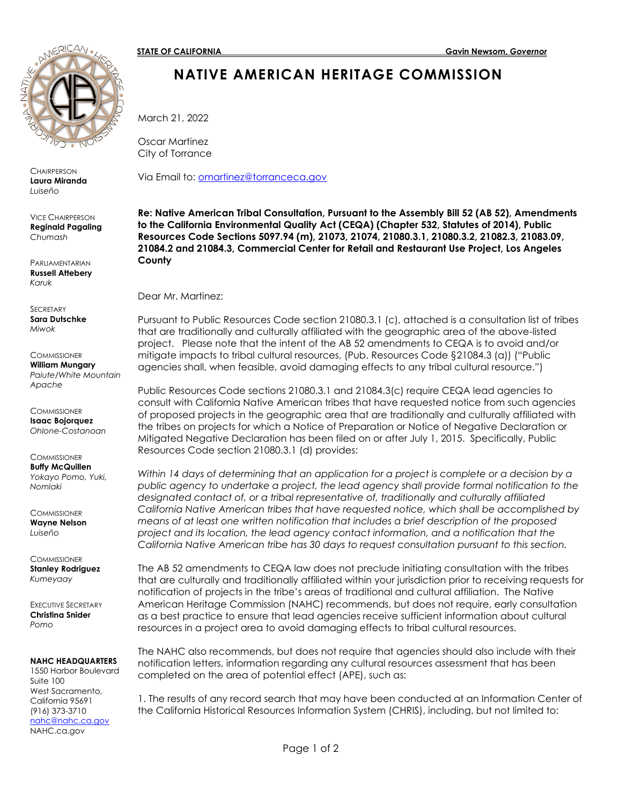

**CHAIRPERSON Laura Miranda**  *Luiseño*

VICE CHAIRPERSON **Reginald Pagaling** *Chumash*

**PARLIAMENTARIAN Russell Attebery** *Karuk* 

**SECRETARY Sara Dutschke** *Miwok*

**COMMISSIONER William Mungary** *Paiute/White Mountain Apache*

**COMMISSIONER Isaac Bojorquez** *Ohlone-Costanoan*

**COMMISSIONER Buffy McQuillen** *Yokayo Pomo, Yuki, Nomlaki*

**COMMISSIONER Wayne Nelson** *Luiseño*

**COMMISSIONER Stanley Rodriguez** *Kumeyaay*

EXECUTIVE SECRETARY **Christina Snider** *Pomo*

#### **NAHC HEADQUARTERS**

1550 Harbor Boulevard Suite 100 West Sacramento, California 95691 (916) 373-3710 [nahc@nahc.ca.gov](mailto:nahc@nahc.ca.gov) NAHC.ca.gov

# **NATIVE AMERICAN HERITAGE COMMISSION**

March 21, 2022

Oscar Martinez City of Torrance

Via Email to: [omartinez@torranceca.gov](mailto:omartinez@torranceca.gov)

**Re: Native American Tribal Consultation, Pursuant to the Assembly Bill 52 (AB 52), Amendments to the California Environmental Quality Act (CEQA) (Chapter 532, Statutes of 2014), Public Resources Code Sections 5097.94 (m), 21073, 21074, 21080.3.1, 21080.3.2, 21082.3, 21083.09, 21084.2 and 21084.3, Commercial Center for Retail and Restaurant Use Project, Los Angeles County** 

Dear Mr. Martinez:

Pursuant to Public Resources Code section 21080.3.1 (c), attached is a consultation list of tribes that are traditionally and culturally affiliated with the geographic area of the above-listed project. Please note that the intent of the AB 52 amendments to CEQA is to avoid and/or mitigate impacts to tribal cultural resources, (Pub. Resources Code §21084.3 (a)) ("Public agencies shall, when feasible, avoid damaging effects to any tribal cultural resource.")

Public Resources Code sections 21080.3.1 and 21084.3(c) require CEQA lead agencies to consult with California Native American tribes that have requested notice from such agencies of proposed projects in the geographic area that are traditionally and culturally affiliated with the tribes on projects for which a Notice of Preparation or Notice of Negative Declaration or Mitigated Negative Declaration has been filed on or after July 1, 2015. Specifically, Public Resources Code section 21080.3.1 (d) provides:

*Within 14 days of determining that an application for a project is complete or a decision by a public agency to undertake a project, the lead agency shall provide formal notification to the designated contact of, or a tribal representative of, traditionally and culturally affiliated California Native American tribes that have requested notice, which shall be accomplished by means of at least one written notification that includes a brief description of the proposed project and its location, the lead agency contact information, and a notification that the California Native American tribe has 30 days to request consultation pursuant to this section.* 

The AB 52 amendments to CEQA law does not preclude initiating consultation with the tribes that are culturally and traditionally affiliated within your jurisdiction prior to receiving requests for notification of projects in the tribe's areas of traditional and cultural affiliation. The Native American Heritage Commission (NAHC) recommends, but does not require, early consultation as a best practice to ensure that lead agencies receive sufficient information about cultural resources in a project area to avoid damaging effects to tribal cultural resources.

The NAHC also recommends, but does not require that agencies should also include with their notification letters, information regarding any cultural resources assessment that has been completed on the area of potential effect (APE), such as:

1. The results of any record search that may have been conducted at an Information Center of the California Historical Resources Information System (CHRIS), including, but not limited to: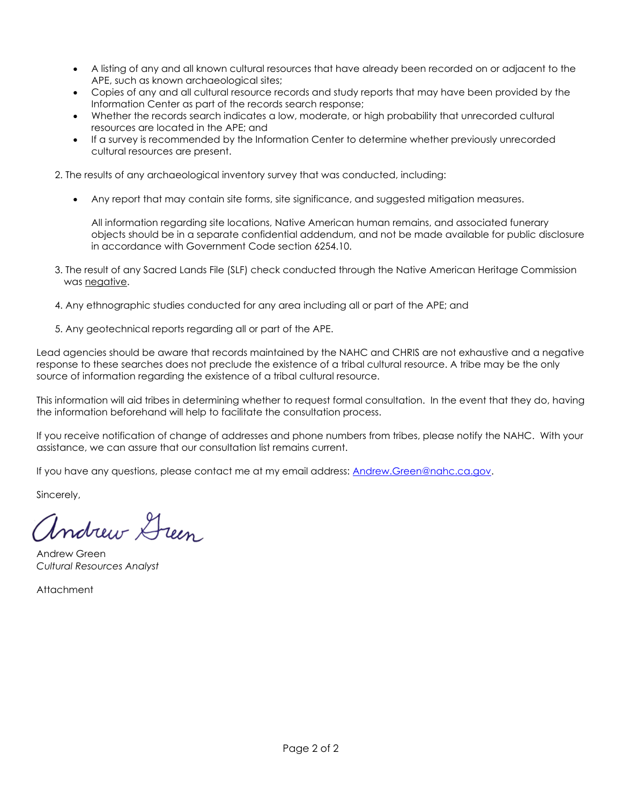- A listing of any and all known cultural resources that have already been recorded on or adjacent to the APE, such as known archaeological sites;
- Copies of any and all cultural resource records and study reports that may have been provided by the Information Center as part of the records search response;
- Whether the records search indicates a low, moderate, or high probability that unrecorded cultural resources are located in the APE; and
- If a survey is recommended by the Information Center to determine whether previously unrecorded cultural resources are present.

2. The results of any archaeological inventory survey that was conducted, including:

• Any report that may contain site forms, site significance, and suggested mitigation measures.

All information regarding site locations, Native American human remains, and associated funerary objects should be in a separate confidential addendum, and not be made available for public disclosure in accordance with Government Code section 6254.10.

- 3. The result of any Sacred Lands File (SLF) check conducted through the Native American Heritage Commission was negative.
- 4. Any ethnographic studies conducted for any area including all or part of the APE; and
- 5. Any geotechnical reports regarding all or part of the APE.

Lead agencies should be aware that records maintained by the NAHC and CHRIS are not exhaustive and a negative response to these searches does not preclude the existence of a tribal cultural resource. A tribe may be the only source of information regarding the existence of a tribal cultural resource.

This information will aid tribes in determining whether to request formal consultation. In the event that they do, having the information beforehand will help to facilitate the consultation process.

If you receive notification of change of addresses and phone numbers from tribes, please notify the NAHC. With your assistance, we can assure that our consultation list remains current.

If you have any questions, please contact me at my email address: [Andrew.Green@nahc.ca.gov.](mailto:Andrew.Green@nahc.ca.gov)

Sincerely,

Indrew Green

Andrew Green *Cultural Resources Analyst*

Attachment